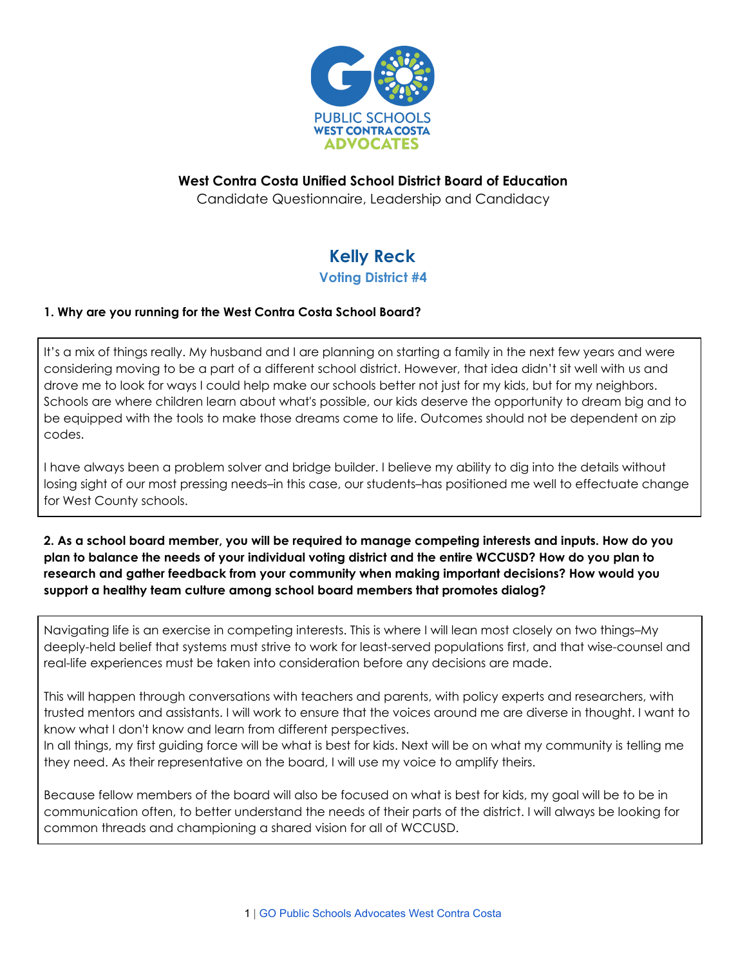

# **West Contra Costa Unified School District Board of Education**

Candidate Questionnaire, Leadership and Candidacy

# **Kelly Reck**

### **Voting District #4**

## **1. Why are you running for the West Contra Costa School Board?**

It's a mix of things really. My husband and I are planning on starting a family in the next few years and were considering moving to be a part of a different school district. However, that idea didn't sit well with us and drove me to look for ways I could help make our schools better not just for my kids, but for my neighbors. Schools are where children learn about what's possible, our kids deserve the opportunity to dream big and to be equipped with the tools to make those dreams come to life. Outcomes should not be dependent on zip codes.

I have always been a problem solver and bridge builder. I believe my ability to dig into the details without losing sight of our most pressing needs–in this case, our students–has positioned me well to effectuate change for West County schools.

#### 2. As a school board member, you will be required to manage competing interests and inputs. How do you plan to balance the needs of your individual voting district and the entire WCCUSD? How do you plan to **research and gather feedback from your community when making important decisions? How would you support a healthy team culture among school board members that promotes dialog?**

Navigating life is an exercise in competing interests. This is where I will lean most closely on two things–My deeply-held belief that systems must strive to work for least-served populations first, and that wise-counsel and real-life experiences must be taken into consideration before any decisions are made.

This will happen through conversations with teachers and parents, with policy experts and researchers, with trusted mentors and assistants. I will work to ensure that the voices around me are diverse in thought. I want to know what I don't know and learn from different perspectives.

In all things, my first guiding force will be what is best for kids. Next will be on what my community is telling me they need. As their representative on the board, I will use my voice to amplify theirs.

Because fellow members of the board will also be focused on what is best for kids, my goal will be to be in communication often, to better understand the needs of their parts of the district. I will always be looking for common threads and championing a shared vision for all of WCCUSD.